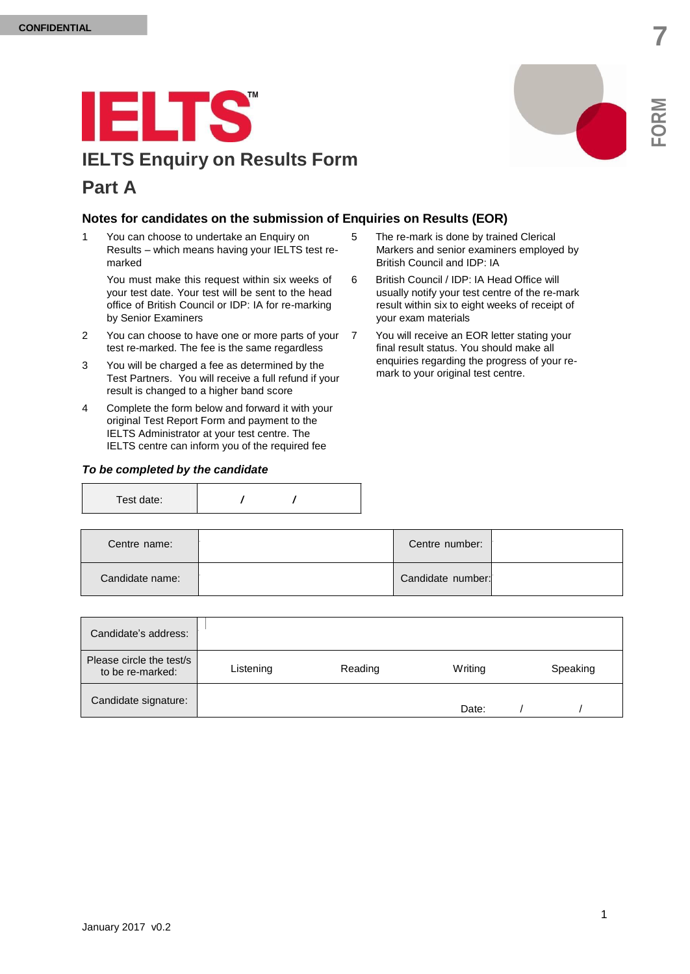## **IELTS IELTS Enquiry on Results Form Part A**



1 You can choose to undertake an Enquiry on Results – which means having your IELTS test remarked

You must make this request within six weeks of your test date. Your test will be sent to the head office of British Council or IDP: IA for re-marking by Senior Examiners

- 2 You can choose to have one or more parts of your 7 test re-marked. The fee is the same regardless
- 3 You will be charged a fee as determined by the Test Partners. You will receive a full refund if your result is changed to a higher band score
- 4 Complete the form below and forward it with your original Test Report Form and payment to the IELTS Administrator at your test centre. The IELTS centre can inform you of the required fee

## *To be completed by the candidate*

| Test date: |  |  |  |
|------------|--|--|--|
|------------|--|--|--|

- 5 The re-mark is done by trained Clerical Markers and senior examiners employed by British Council and IDP: IA
- 6 British Council / IDP: IA Head Office will usually notify your test centre of the re-mark result within six to eight weeks of receipt of your exam materials
- You will receive an EOR letter stating your final result status. You should make all enquiries regarding the progress of your remark to your original test centre.

| Centre name:    | Centre number:    |  |
|-----------------|-------------------|--|
| Candidate name: | Candidate number: |  |
|                 |                   |  |

| Candidate's address:                         |           |         |         |          |
|----------------------------------------------|-----------|---------|---------|----------|
| Please circle the test/s<br>to be re-marked: | Listening | Reading | Writing | Speaking |
| Candidate signature:                         |           |         | Date:   |          |

**FOR**